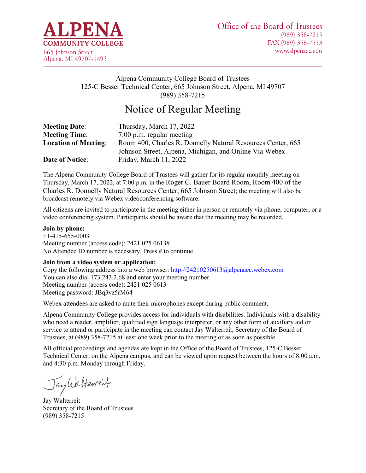

## Alpena Community College Board of Trustees 125-C Besser Technical Center, 665 Johnson Street, Alpena, MI 49707 (989) 358-7215

# Notice of Regular Meeting

| <b>Meeting Date:</b>        | Thursday, March 17, 2022                                    |
|-----------------------------|-------------------------------------------------------------|
| <b>Meeting Time:</b>        | $7:00$ p.m. regular meeting                                 |
| <b>Location of Meeting:</b> | Room 400, Charles R. Donnelly Natural Resources Center, 665 |
|                             | Johnson Street, Alpena, Michigan, and Online Via Webex      |
| <b>Date of Notice:</b>      | Friday, March 11, 2022                                      |

The Alpena Community College Board of Trustees will gather for its regular monthly meeting on Thursday, March 17, 2022, at 7:00 p.m. in the Roger C. Bauer Board Room, Room 400 of the Charles R. Donnelly Natural Resources Center, 665 Johnson Street; the meeting will also be broadcast remotely via Webex videoconferencing software.

All citizens are invited to participate in the meeting either in person or remotely via phone, computer, or a video conferencing system. Participants should be aware that the meeting may be recorded.

#### **Join by phone:**

+1-415-655-0003 Meeting number (access code): 2421 025 0613# No Attendee ID number is necessary. Press # to continue.

#### **Join from a video system or application:**

Copy the following address into a web browser:<http://24210250613@alpenacc.webex.com> You can also dial 173.243.2.68 and enter your meeting number. Meeting number (access code): 2421 025 0613 Meeting password: JBq3vz5rM64

Webex attendees are asked to mute their microphones except during public comment.

Alpena Community College provides access for individuals with disabilities. Individuals with a disability who need a reader, amplifier, qualified sign language interpreter, or any other form of auxiliary aid or service to attend or participate in the meeting can contact Jay Walterreit, Secretary of the Board of Trustees, at (989) 358-7215 at least one week prior to the meeting or as soon as possible.

All official proceedings and agendas are kept in the Office of the Board of Trustees, 125-C Besser Technical Center, on the Alpena campus, and can be viewed upon request between the hours of 8:00 a.m. and 4:30 p.m. Monday through Friday.

Jankalterreit

Jay Walterreit Secretary of the Board of Trustees (989) 358-7215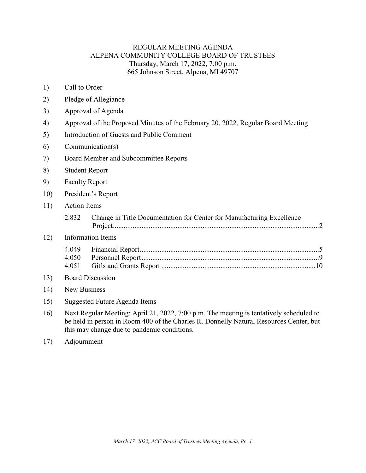### REGULAR MEETING AGENDA ALPENA COMMUNITY COLLEGE BOARD OF TRUSTEES Thursday, March 17, 2022, 7:00 p.m. 665 Johnson Street, Alpena, MI 49707

- 1) Call to Order
- 2) Pledge of Allegiance
- 3) Approval of Agenda
- 4) Approval of the Proposed Minutes of the February 20, 2022, Regular Board Meeting
- 5) Introduction of Guests and Public Comment
- 6) Communication(s)
- 7) Board Member and Subcommittee Reports
- 8) Student Report
- 9) Faculty Report
- 10) President's Report
- 11) Action Items
	- 2.832 [Change in Title Documentation for Center for Manufacturing Excellence](#page-2-0)  [Project...................................................................................................................2](#page-2-0)

#### 12) Information Items

#### 13) Board Discussion

- 14) New Business
- 15) Suggested Future Agenda Items
- 16) Next Regular Meeting: April 21, 2022, 7:00 p.m. The meeting is tentatively scheduled to be held in person in Room 400 of the Charles R. Donnelly Natural Resources Center, but this may change due to pandemic conditions.
- 17) Adjournment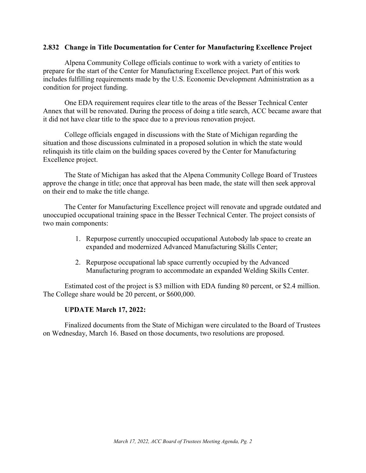### <span id="page-2-0"></span>**2.832 Change in Title Documentation for Center for Manufacturing Excellence Project**

Alpena Community College officials continue to work with a variety of entities to prepare for the start of the Center for Manufacturing Excellence project. Part of this work includes fulfilling requirements made by the U.S. Economic Development Administration as a condition for project funding.

One EDA requirement requires clear title to the areas of the Besser Technical Center Annex that will be renovated. During the process of doing a title search, ACC became aware that it did not have clear title to the space due to a previous renovation project.

College officials engaged in discussions with the State of Michigan regarding the situation and those discussions culminated in a proposed solution in which the state would relinquish its title claim on the building spaces covered by the Center for Manufacturing Excellence project.

The State of Michigan has asked that the Alpena Community College Board of Trustees approve the change in title; once that approval has been made, the state will then seek approval on their end to make the title change.

The Center for Manufacturing Excellence project will renovate and upgrade outdated and unoccupied occupational training space in the Besser Technical Center. The project consists of two main components:

- 1. Repurpose currently unoccupied occupational Autobody lab space to create an expanded and modernized Advanced Manufacturing Skills Center;
- 2. Repurpose occupational lab space currently occupied by the Advanced Manufacturing program to accommodate an expanded Welding Skills Center.

Estimated cost of the project is \$3 million with EDA funding 80 percent, or \$2.4 million. The College share would be 20 percent, or \$600,000.

### **UPDATE March 17, 2022:**

Finalized documents from the State of Michigan were circulated to the Board of Trustees on Wednesday, March 16. Based on those documents, two resolutions are proposed.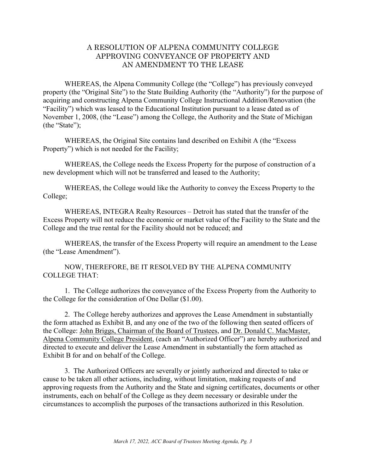### A RESOLUTION OF ALPENA COMMUNITY COLLEGE APPROVING CONVEYANCE OF PROPERTY AND AN AMENDMENT TO THE LEASE

WHEREAS, the Alpena Community College (the "College") has previously conveyed property (the "Original Site") to the State Building Authority (the "Authority") for the purpose of acquiring and constructing Alpena Community College Instructional Addition/Renovation (the "Facility") which was leased to the Educational Institution pursuant to a lease dated as of November 1, 2008, (the "Lease") among the College, the Authority and the State of Michigan (the "State");

WHEREAS, the Original Site contains land described on Exhibit A (the "Excess Property") which is not needed for the Facility;

WHEREAS, the College needs the Excess Property for the purpose of construction of a new development which will not be transferred and leased to the Authority;

WHEREAS, the College would like the Authority to convey the Excess Property to the College;

WHEREAS, INTEGRA Realty Resources – Detroit has stated that the transfer of the Excess Property will not reduce the economic or market value of the Facility to the State and the College and the true rental for the Facility should not be reduced; and

WHEREAS, the transfer of the Excess Property will require an amendment to the Lease (the "Lease Amendment").

NOW, THEREFORE, BE IT RESOLVED BY THE ALPENA COMMUNITY COLLEGE THAT:

1. The College authorizes the conveyance of the Excess Property from the Authority to the College for the consideration of One Dollar (\$1.00).

2. The College hereby authorizes and approves the Lease Amendment in substantially the form attached as Exhibit B, and any one of the two of the following then seated officers of the College: John Briggs, Chairman of the Board of Trustees, and Dr. Donald C. MacMaster, Alpena Community College President, (each an "Authorized Officer") are hereby authorized and directed to execute and deliver the Lease Amendment in substantially the form attached as Exhibit B for and on behalf of the College.

3. The Authorized Officers are severally or jointly authorized and directed to take or cause to be taken all other actions, including, without limitation, making requests of and approving requests from the Authority and the State and signing certificates, documents or other instruments, each on behalf of the College as they deem necessary or desirable under the circumstances to accomplish the purposes of the transactions authorized in this Resolution.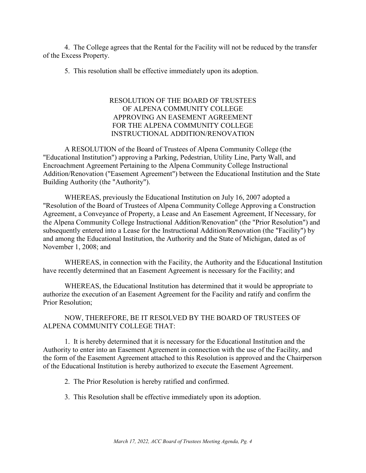4. The College agrees that the Rental for the Facility will not be reduced by the transfer of the Excess Property.

5. This resolution shall be effective immediately upon its adoption.

### RESOLUTION OF THE BOARD OF TRUSTEES OF ALPENA COMMUNITY COLLEGE APPROVING AN EASEMENT AGREEMENT FOR THE ALPENA COMMUNITY COLLEGE INSTRUCTIONAL ADDITION/RENOVATION

A RESOLUTION of the Board of Trustees of Alpena Community College (the "Educational Institution") approving a Parking, Pedestrian, Utility Line, Party Wall, and Encroachment Agreement Pertaining to the Alpena Community College Instructional Addition/Renovation ("Easement Agreement") between the Educational Institution and the State Building Authority (the "Authority").

WHEREAS, previously the Educational Institution on July 16, 2007 adopted a "Resolution of the Board of Trustees of Alpena Community College Approving a Construction Agreement, a Conveyance of Property, a Lease and An Easement Agreement, If Necessary, for the Alpena Community College Instructional Addition/Renovation" (the "Prior Resolution") and subsequently entered into a Lease for the Instructional Addition/Renovation (the "Facility") by and among the Educational Institution, the Authority and the State of Michigan, dated as of November 1, 2008; and

WHEREAS, in connection with the Facility, the Authority and the Educational Institution have recently determined that an Easement Agreement is necessary for the Facility; and

WHEREAS, the Educational Institution has determined that it would be appropriate to authorize the execution of an Easement Agreement for the Facility and ratify and confirm the Prior Resolution;

### NOW, THEREFORE, BE IT RESOLVED BY THE BOARD OF TRUSTEES OF ALPENA COMMUNITY COLLEGE THAT:

1. It is hereby determined that it is necessary for the Educational Institution and the Authority to enter into an Easement Agreement in connection with the use of the Facility, and the form of the Easement Agreement attached to this Resolution is approved and the Chairperson of the Educational Institution is hereby authorized to execute the Easement Agreement.

2. The Prior Resolution is hereby ratified and confirmed.

3. This Resolution shall be effective immediately upon its adoption.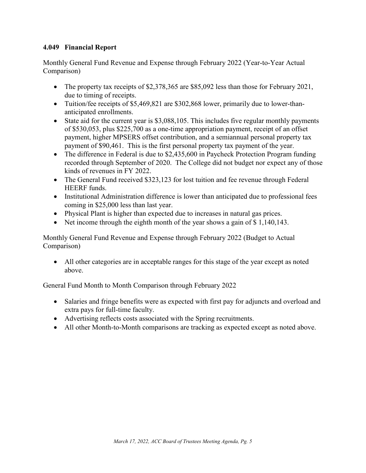## <span id="page-5-0"></span>**4.049 Financial Report**

Monthly General Fund Revenue and Expense through February 2022 (Year-to-Year Actual Comparison)

- The property tax receipts of \$2,378,365 are \$85,092 less than those for February 2021, due to timing of receipts.
- Tuition/fee receipts of \$5,469,821 are \$302,868 lower, primarily due to lower-thananticipated enrollments.
- State aid for the current year is \$3,088,105. This includes five regular monthly payments of \$530,053, plus \$225,700 as a one-time appropriation payment, receipt of an offset payment, higher MPSERS offset contribution, and a semiannual personal property tax payment of \$90,461. This is the first personal property tax payment of the year.
- The difference in Federal is due to \$2,435,600 in Paycheck Protection Program funding recorded through September of 2020. The College did not budget nor expect any of those kinds of revenues in FY 2022.
- The General Fund received \$323,123 for lost tuition and fee revenue through Federal HEERF funds.
- Institutional Administration difference is lower than anticipated due to professional fees coming in \$25,000 less than last year.
- Physical Plant is higher than expected due to increases in natural gas prices.
- Net income through the eighth month of the year shows a gain of \$1,140,143.

Monthly General Fund Revenue and Expense through February 2022 (Budget to Actual Comparison)

• All other categories are in acceptable ranges for this stage of the year except as noted above.

General Fund Month to Month Comparison through February 2022

- Salaries and fringe benefits were as expected with first pay for adjuncts and overload and extra pays for full-time faculty.
- Advertising reflects costs associated with the Spring recruitments.
- All other Month-to-Month comparisons are tracking as expected except as noted above.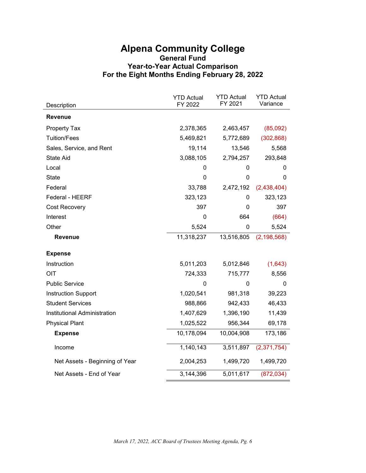# **Alpena Community College General Fund Year-to-Year Actual Comparison For the Eight Months Ending February 28, 2022**

| Description                    | <b>YTD Actual</b><br>FY 2022 | <b>YTD Actual</b><br>FY 2021 | <b>YTD Actual</b><br>Variance |
|--------------------------------|------------------------------|------------------------------|-------------------------------|
| <b>Revenue</b>                 |                              |                              |                               |
| <b>Property Tax</b>            | 2,378,365                    | 2,463,457                    | (85,092)                      |
| <b>Tuition/Fees</b>            | 5,469,821                    | 5,772,689                    | (302, 868)                    |
| Sales, Service, and Rent       | 19,114                       | 13,546                       | 5,568                         |
| <b>State Aid</b>               | 3,088,105                    | 2,794,257                    | 293,848                       |
| Local                          | 0                            | 0                            | 0                             |
| State                          | 0                            | $\mathbf 0$                  | 0                             |
| Federal                        | 33,788                       | 2,472,192                    | (2,438,404)                   |
| Federal - HEERF                | 323,123                      | 0                            | 323,123                       |
| Cost Recovery                  | 397                          | 0                            | 397                           |
| Interest                       | 0                            | 664                          | (664)                         |
| Other                          | 5,524                        | 0                            | 5,524                         |
| <b>Revenue</b>                 | 11,318,237                   | 13,516,805                   | (2, 198, 568)                 |
| <b>Expense</b>                 |                              |                              |                               |
| Instruction                    | 5,011,203                    | 5,012,846                    | (1,643)                       |
| OIT                            | 724,333                      | 715,777                      | 8,556                         |
| <b>Public Service</b>          | 0                            | 0                            | 0                             |
| <b>Instruction Support</b>     | 1,020,541                    | 981,318                      | 39,223                        |
| <b>Student Services</b>        | 988,866                      | 942,433                      | 46,433                        |
| Institutional Administration   | 1,407,629                    | 1,396,190                    | 11,439                        |
| <b>Physical Plant</b>          | 1,025,522                    | 956,344                      | 69,178                        |
| <b>Expense</b>                 | 10,178,094                   | 10,004,908                   | 173,186                       |
| Income                         | 1,140,143                    | 3,511,897                    | (2,371,754)                   |
| Net Assets - Beginning of Year | 2,004,253                    | 1,499,720                    | 1,499,720                     |
| Net Assets - End of Year       | 3,144,396                    | 5,011,617                    | (872, 034)                    |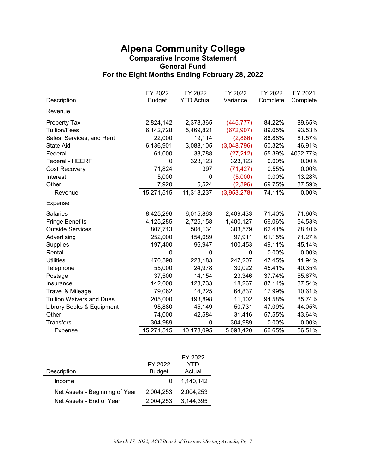# **Alpena Community College Comparative Income Statement General Fund For the Eight Months Ending February 28, 2022**

|                                 | FY 2022<br>FY 2022 |                   | FY 2022     | FY 2022  | FY 2021  |  |
|---------------------------------|--------------------|-------------------|-------------|----------|----------|--|
| Description                     | <b>Budget</b>      | <b>YTD Actual</b> | Variance    | Complete | Complete |  |
| Revenue                         |                    |                   |             |          |          |  |
| <b>Property Tax</b>             | 2,824,142          | 2,378,365         | (445, 777)  | 84.22%   | 89.65%   |  |
| <b>Tuition/Fees</b>             | 6,142,728          | 5,469,821         | (672, 907)  | 89.05%   | 93.53%   |  |
| Sales, Services, and Rent       | 22,000             | 19,114            | (2,886)     | 86.88%   | 61.57%   |  |
| <b>State Aid</b>                | 6,136,901          | 3,088,105         | (3,048,796) | 50.32%   | 46.91%   |  |
| Federal                         | 61,000             | 33,788            | (27, 212)   | 55.39%   | 4052.77% |  |
| Federal - HEERF                 | 0                  | 323,123           | 323,123     | 0.00%    | 0.00%    |  |
| <b>Cost Recovery</b>            | 71,824             | 397               | (71, 427)   | 0.55%    | 0.00%    |  |
| Interest                        | 5,000              | $\mathbf 0$       | (5,000)     | 0.00%    | 13.28%   |  |
| Other                           | 7,920              | 5,524             | (2, 396)    | 69.75%   | 37.59%   |  |
| Revenue                         | 15,271,515         | 11,318,237        | (3,953,278) | 74.11%   | 0.00%    |  |
| Expense                         |                    |                   |             |          |          |  |
| <b>Salaries</b>                 | 8,425,296          | 6,015,863         | 2,409,433   | 71.40%   | 71.66%   |  |
| <b>Fringe Benefits</b>          | 4,125,285          | 2,725,158         | 1,400,127   | 66.06%   | 64.53%   |  |
| <b>Outside Services</b>         | 807,713            | 504,134           | 303,579     | 62.41%   | 78.40%   |  |
| Advertising                     | 252,000            | 154,089           | 97,911      | 61.15%   | 71.27%   |  |
| <b>Supplies</b>                 | 197,400            | 96,947            | 100,453     | 49.11%   | 45.14%   |  |
| Rental                          | 0                  | 0                 | 0           | 0.00%    | 0.00%    |  |
| <b>Utilities</b>                | 470,390            | 223,183           | 247,207     | 47.45%   | 41.94%   |  |
| Telephone                       | 55,000             | 24,978            | 30,022      | 45.41%   | 40.35%   |  |
| Postage                         | 37,500             | 14,154            | 23,346      | 37.74%   | 55.67%   |  |
| Insurance                       | 142,000            | 123,733           | 18,267      | 87.14%   | 87.54%   |  |
| Travel & Mileage                | 79,062             | 14,225            | 64,837      | 17.99%   | 10.61%   |  |
| <b>Tuition Waivers and Dues</b> | 205,000            | 193,898           | 11,102      | 94.58%   | 85.74%   |  |
| Library Books & Equipment       | 95,880             | 45,149            | 50,731      | 47.09%   | 44.05%   |  |
| Other                           | 74,000             | 42,584            | 31,416      | 57.55%   | 43.64%   |  |
| <b>Transfers</b>                | 304,989            | 0                 | 304,989     | 0.00%    | 0.00%    |  |
| Expense                         | 15,271,515         | 10,178,095        | 5,093,420   | 66.65%   | 66.51%   |  |

|                                |               | FY 2022   |
|--------------------------------|---------------|-----------|
|                                | FY 2022       | YTD       |
| Description                    | <b>Budget</b> | Actual    |
| Income                         |               | 1.140.142 |
| Net Assets - Beginning of Year | 2,004,253     | 2,004,253 |
| Net Assets - End of Year       | 2.004.253     | 3,144,395 |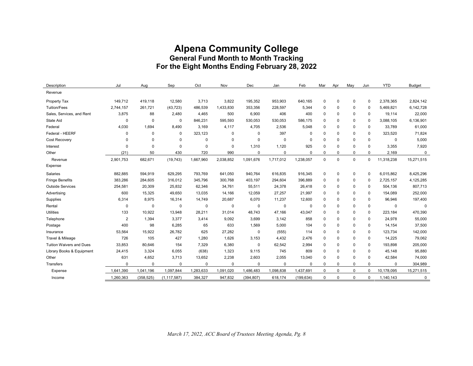# **Alpena Community College General Fund Month to Month Tracking For the Eight Months Ending February 28, 2022**

| Description                     | Jul            | Aug         | Sep           | Oct         | Nov         | Dec         | Jan         | Feb        | Mar | Apr         | May | Jun         | <b>YTD</b>  | <b>Budget</b> |
|---------------------------------|----------------|-------------|---------------|-------------|-------------|-------------|-------------|------------|-----|-------------|-----|-------------|-------------|---------------|
| Revenue                         |                |             |               |             |             |             |             |            |     |             |     |             |             |               |
| Property Tax                    | 149,712        | 419,118     | 12,580        | 3,713       | 3,822       | 195,352     | 953,903     | 640,165    | 0   | $\mathbf 0$ | 0   | $\mathbf 0$ | 2,378,365   | 2,824,142     |
| <b>Tuition/Fees</b>             | 2,744,157      | 261,721     | (43, 723)     | 486,539     | 1,433,830   | 353,356     | 228,597     | 5,344      | 0   | $\Omega$    | 0   | $\mathbf 0$ | 5,469,821   | 6,142,728     |
| Sales, Services, and Rent       | 3,875          | 88          | 2,480         | 4,465       | 500         | 6,900       | 406         | 400        | 0   | $\Omega$    | 0   | $\mathbf 0$ | 19,114      | 22,000        |
| <b>State Aid</b>                | 0              | 0           | $\mathbf 0$   | 846,231     | 595,593     | 530,053     | 530,053     | 586,175    | 0   | $\Omega$    | 0   | $\Omega$    | 3,088,105   | 6,136,901     |
| Federal                         | 4,030          | 1,694       | 8,490         | 3,169       | 4,117       | 4,705       | 2,536       | 5,048      | 0   | $\Omega$    | 0   | $\mathbf 0$ | 33,789      | 61,000        |
| Federal - HEERF                 | 0              | 0           | 0             | 323,123     | 0           | 0           | 397         | $\Omega$   | 0   | $\Omega$    | 0   | $\mathbf 0$ | 323,520     | 71,824        |
| Cost Recovery                   | $\Omega$       | $\Omega$    | 0             | $\mathbf 0$ | 0           | $\mathbf 0$ | $\mathbf 0$ | $\Omega$   | 0   | $\Omega$    | 0   | $\Omega$    | $\mathbf 0$ | 5,000         |
| Interest                        | 0              | $\mathbf 0$ | $\mathbf 0$   | $\mathbf 0$ | $\mathbf 0$ | 1,310       | 1,120       | 925        | 0   | $\Omega$    | 0   | $\Omega$    | 3,355       | 7,920         |
| Other                           | (21)           | 50          | 430           | 720         | 990         | $\mathbf 0$ | $\Omega$    | $\Omega$   | 0   | $\mathbf 0$ | 0   | $\Omega$    | 2,169       | $\mathbf 0$   |
| Revenue                         | 2,901,753      | 682,671     | (19, 743)     | 1,667,960   | 2,038,852   | 1,091,676   | 1,717,012   | 1,238,057  | 0   | $\Omega$    | 0   | 0           | 11,318,238  | 15,271,515    |
| Expense                         |                |             |               |             |             |             |             |            |     |             |     |             |             |               |
| <b>Salaries</b>                 | 882,885        | 594,919     | 629,295       | 793,769     | 641,050     | 940,764     | 616,835     | 916,345    | 0   | $\mathbf 0$ | 0   | $\mathbf 0$ | 6,015,862   | 8,425,296     |
| <b>Fringe Benefits</b>          | 383,286        | 284,605     | 316,012       | 345,796     | 300,768     | 403,197     | 294,604     | 396,889    | 0   | $\mathbf 0$ | 0   | $\mathbf 0$ | 2,725,157   | 4,125,285     |
| <b>Outside Services</b>         | 254,581        | 20,309      | 25,832        | 62,346      | 34,761      | 55,511      | 24,378      | 26,418     | 0   | 0           | 0   | $\mathbf 0$ | 504,136     | 807,713       |
| Advertising                     | 600            | 15,325      | 49,650        | 13,035      | 14,166      | 12,059      | 27,257      | 21,997     | 0   | $\Omega$    | 0   | $\mathbf 0$ | 154,089     | 252,000       |
| Supplies                        | 6,314          | 8,975       | 16,314        | 14,749      | 20,687      | 6,070       | 11,237      | 12,600     | 0   | $\Omega$    | 0   | $\Omega$    | 96,946      | 197,400       |
| Rental                          | 0              | $\mathbf 0$ | $\mathbf 0$   | 0           | 0           | 0           | $\mathbf 0$ | $\Omega$   | 0   | $\Omega$    | 0   | $\mathbf 0$ | 0           | $\Omega$      |
| <b>Utilities</b>                | 133            | 10,922      | 13,948        | 28,211      | 31,014      | 48,743      | 47,166      | 43,047     | 0   | $\Omega$    | 0   | $\mathbf 0$ | 223,184     | 470,390       |
| Telephone                       | $\overline{2}$ | 1,394       | 3,377         | 3,414       | 9,092       | 3,699       | 3,142       | 858        | 0   | $\Omega$    | 0   | $\Omega$    | 24,978      | 55,000        |
| Postage                         | 400            | 98          | 6,285         | 65          | 633         | 1,569       | 5,000       | 104        | 0   | $\Omega$    | 0   | $\Omega$    | 14,154      | 37,500        |
| Insurance                       | 53,564         | 15,922      | 26,782        | 625         | 27,282      | 0           | (555)       | 114        | 0   | $\Omega$    | 0   | $\mathbf 0$ | 123,734     | 142,000       |
| Travel & Mileage                | 726            | 105         | 427           | 1,280       | 1,626       | 3,153       | 4,432       | 2,476      | 0   | $\Omega$    | 0   | $\mathbf 0$ | 14,225      | 79,062        |
| <b>Tuition Waivers and Dues</b> | 33,853         | 80,646      | 154           | 7,329       | 6,380       | 0           | 62,542      | 2,994      | 0   | $\Omega$    | 0   | $\mathbf 0$ | 193,898     | 205,000       |
| Library Books & Equipment       | 24,415         | 3,324       | 6,055         | (638)       | 1,323       | 9,115       | 745         | 809        | 0   | $\Omega$    | 0   | $\Omega$    | 45,148      | 95,880        |
| Other                           | 631            | 4,652       | 3,713         | 13,652      | 2,238       | 2,603       | 2,055       | 13,040     | 0   | $\Omega$    | 0   | $\mathbf 0$ | 42,584      | 74,000        |
| Transfers                       | $\Omega$       | $\mathbf 0$ | $\mathbf 0$   | $\mathbf 0$ | $\pmb{0}$   | $\mathbf 0$ | $\Omega$    | $\Omega$   | 0   | $\Omega$    | 0   | $\Omega$    | $\mathbf 0$ | 304,989       |
| Expense                         | 1,641,390      | 1,041,196   | 1,097,844     | 1,283,633   | 1,091,020   | 1,486,483   | 1,098,838   | 1,437,691  | 0   | $\mathbf 0$ | 0   | $\mathbf 0$ | 10,178,095  | 15,271,515    |
| Income                          | 1,260,363      | (358, 525)  | (1, 117, 587) | 384,327     | 947,832     | (394, 807)  | 618,174     | (199, 634) | 0   | $\mathbf 0$ | 0   | $\Omega$    | 1,140,143   | 0             |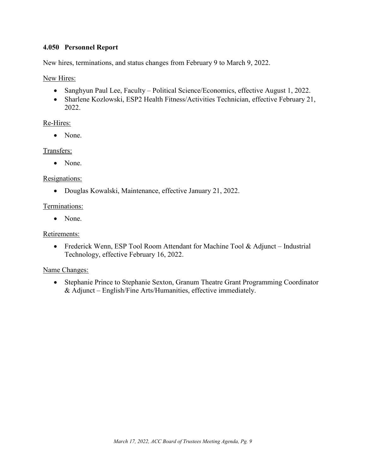### <span id="page-9-0"></span>**4.050 Personnel Report**

New hires, terminations, and status changes from February 9 to March 9, 2022.

New Hires:

- Sanghyun Paul Lee, Faculty Political Science/Economics, effective August 1, 2022.
- Sharlene Kozlowski, ESP2 Health Fitness/Activities Technician, effective February 21, 2022.

### Re-Hires:

• None.

### Transfers:

• None.

### Resignations:

• Douglas Kowalski, Maintenance, effective January 21, 2022.

### Terminations:

• None.

### Retirements:

• Frederick Wenn, ESP Tool Room Attendant for Machine Tool & Adjunct – Industrial Technology, effective February 16, 2022.

### Name Changes:

• Stephanie Prince to Stephanie Sexton, Granum Theatre Grant Programming Coordinator & Adjunct – English/Fine Arts/Humanities, effective immediately.